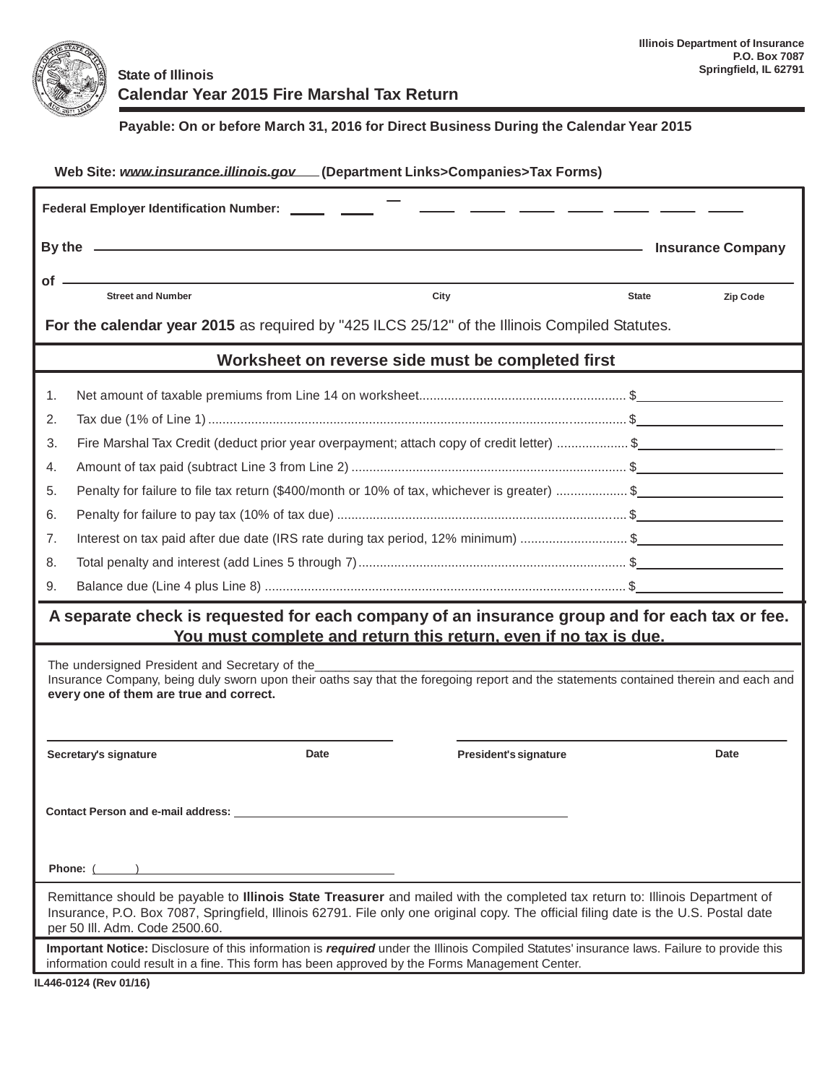

**Payable: On or before March 31, 2016 for Direct Business During the Calendar Year 2015**

| Web Site: www.insurance.illinois.gov (Department Links>Companies>Tax Forms)                                                                                                                                                                                                                            |                                                                                                                                                                                                                                               |                                     |                          |  |  |  |  |  |  |
|--------------------------------------------------------------------------------------------------------------------------------------------------------------------------------------------------------------------------------------------------------------------------------------------------------|-----------------------------------------------------------------------------------------------------------------------------------------------------------------------------------------------------------------------------------------------|-------------------------------------|--------------------------|--|--|--|--|--|--|
| <b>Federal Employer Identification Number:</b>                                                                                                                                                                                                                                                         |                                                                                                                                                                                                                                               |                                     |                          |  |  |  |  |  |  |
|                                                                                                                                                                                                                                                                                                        | By the $\overline{\phantom{a}}$                                                                                                                                                                                                               | <b>EXAMPLE 11 Insurance Company</b> |                          |  |  |  |  |  |  |
| $of -$                                                                                                                                                                                                                                                                                                 |                                                                                                                                                                                                                                               |                                     |                          |  |  |  |  |  |  |
|                                                                                                                                                                                                                                                                                                        | <b>Street and Number</b><br>City                                                                                                                                                                                                              |                                     | <b>State</b><br>Zip Code |  |  |  |  |  |  |
| For the calendar year 2015 as required by "425 ILCS 25/12" of the Illinois Compiled Statutes.                                                                                                                                                                                                          |                                                                                                                                                                                                                                               |                                     |                          |  |  |  |  |  |  |
| Worksheet on reverse side must be completed first                                                                                                                                                                                                                                                      |                                                                                                                                                                                                                                               |                                     |                          |  |  |  |  |  |  |
| 1.                                                                                                                                                                                                                                                                                                     |                                                                                                                                                                                                                                               |                                     |                          |  |  |  |  |  |  |
| 2.                                                                                                                                                                                                                                                                                                     |                                                                                                                                                                                                                                               |                                     |                          |  |  |  |  |  |  |
| 3.                                                                                                                                                                                                                                                                                                     | Fire Marshal Tax Credit (deduct prior year overpayment; attach copy of credit letter) \$                                                                                                                                                      |                                     |                          |  |  |  |  |  |  |
| 4.                                                                                                                                                                                                                                                                                                     |                                                                                                                                                                                                                                               |                                     |                          |  |  |  |  |  |  |
| 5.                                                                                                                                                                                                                                                                                                     | Penalty for failure to file tax return (\$400/month or 10% of tax, whichever is greater) \$                                                                                                                                                   |                                     |                          |  |  |  |  |  |  |
| 6.                                                                                                                                                                                                                                                                                                     |                                                                                                                                                                                                                                               |                                     |                          |  |  |  |  |  |  |
| 7.                                                                                                                                                                                                                                                                                                     | Interest on tax paid after due date (IRS rate during tax period, 12% minimum) \$                                                                                                                                                              |                                     |                          |  |  |  |  |  |  |
| 8.                                                                                                                                                                                                                                                                                                     |                                                                                                                                                                                                                                               |                                     |                          |  |  |  |  |  |  |
| 9.                                                                                                                                                                                                                                                                                                     |                                                                                                                                                                                                                                               |                                     |                          |  |  |  |  |  |  |
| A separate check is requested for each company of an insurance group and for each tax or fee.<br>You must complete and return this return, even if no tax is due.                                                                                                                                      |                                                                                                                                                                                                                                               |                                     |                          |  |  |  |  |  |  |
| The undersigned President and Secretary of the                                                                                                                                                                                                                                                         |                                                                                                                                                                                                                                               |                                     |                          |  |  |  |  |  |  |
| Insurance Company, being duly sworn upon their oaths say that the foregoing report and the statements contained therein and each and<br>every one of them are true and correct.                                                                                                                        |                                                                                                                                                                                                                                               |                                     |                          |  |  |  |  |  |  |
|                                                                                                                                                                                                                                                                                                        |                                                                                                                                                                                                                                               |                                     |                          |  |  |  |  |  |  |
|                                                                                                                                                                                                                                                                                                        | Date<br>Secretary's signature                                                                                                                                                                                                                 | President's signature               | Date                     |  |  |  |  |  |  |
|                                                                                                                                                                                                                                                                                                        |                                                                                                                                                                                                                                               |                                     |                          |  |  |  |  |  |  |
|                                                                                                                                                                                                                                                                                                        |                                                                                                                                                                                                                                               |                                     |                          |  |  |  |  |  |  |
| Contact Person and e-mail address: _                                                                                                                                                                                                                                                                   |                                                                                                                                                                                                                                               |                                     |                          |  |  |  |  |  |  |
|                                                                                                                                                                                                                                                                                                        |                                                                                                                                                                                                                                               |                                     |                          |  |  |  |  |  |  |
| Phone: ( )                                                                                                                                                                                                                                                                                             |                                                                                                                                                                                                                                               |                                     |                          |  |  |  |  |  |  |
| Remittance should be payable to Illinois State Treasurer and mailed with the completed tax return to: Illinois Department of<br>Insurance, P.O. Box 7087, Springfield, Illinois 62791. File only one original copy. The official filing date is the U.S. Postal date<br>per 50 III. Adm. Code 2500.60. |                                                                                                                                                                                                                                               |                                     |                          |  |  |  |  |  |  |
|                                                                                                                                                                                                                                                                                                        | Important Notice: Disclosure of this information is required under the Illinois Compiled Statutes' insurance laws. Failure to provide this<br>information could result in a fine. This form has been approved by the Forms Management Center. |                                     |                          |  |  |  |  |  |  |
| IL446-0124 (Rev 01/16)                                                                                                                                                                                                                                                                                 |                                                                                                                                                                                                                                               |                                     |                          |  |  |  |  |  |  |